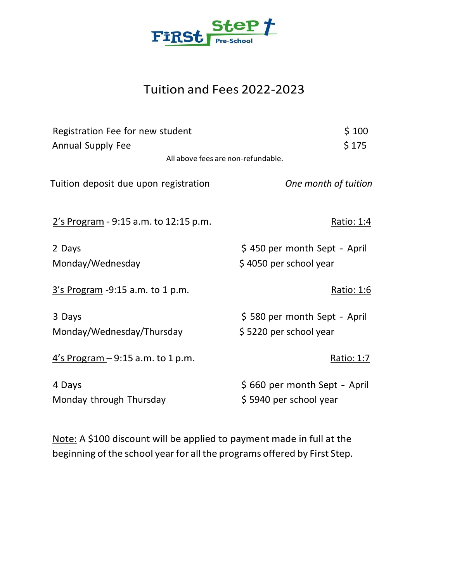

# Tuition and Fees 2022-2023

| Registration Fee for new student        | \$100                        |
|-----------------------------------------|------------------------------|
| <b>Annual Supply Fee</b>                | \$175                        |
| All above fees are non-refundable.      |                              |
| Tuition deposit due upon registration   | One month of tuition         |
| $2's Program - 9:15 a.m. to 12:15 p.m.$ | Ratio: 1:4                   |
| 2 Days                                  | \$450 per month Sept - April |
| Monday/Wednesday                        | \$4050 per school year       |
| $3's Program -9:15 a.m. to 1 p.m.$      | <u> Ratio: 1:6</u>           |
| 3 Days                                  | \$580 per month Sept - April |
| Monday/Wednesday/Thursday               | \$5220 per school year       |
| $4's Program - 9:15 a.m. to 1 p.m.$     | <u> Ratio: 1:7</u>           |
| 4 Days                                  | \$660 per month Sept - April |
| Monday through Thursday                 | \$5940 per school year       |

Note: A \$100 discount will be applied to payment made in full at the beginning of the school year for all the programs offered by First Step.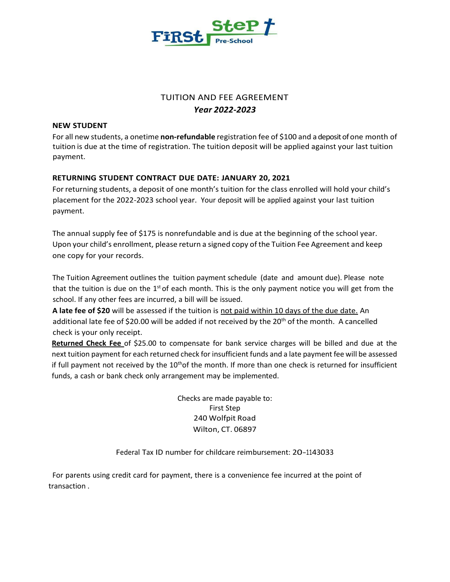

# TUITION AND FEE AGREEMENT *Year 2022-2023*

#### **NEW STUDENT**

For all new students, a onetime **non-refundable** registration fee of \$100 and a deposit of one month of tuition is due at the time of registration. The tuition deposit will be applied against your last tuition payment.

## **RETURNING STUDENT CONTRACT DUE DATE: JANUARY 20, 2021**

For returning students, a deposit of one month's tuition for the class enrolled will hold your child's placement for the 2022-2023 school year. Your deposit will be applied against your last tuition payment.

The annual supply fee of \$175 is nonrefundable and is due at the beginning of the school year. Upon your child's enrollment, please return a signed copy of the Tuition Fee Agreement and keep one copy for your records.

The Tuition Agreement outlines the tuition payment schedule (date and amount due). Please note that the tuition is due on the 1<sup>st</sup> of each month. This is the only payment notice you will get from the school. If any other fees are incurred, a bill will be issued.

**A late fee of \$20** will be assessed if the tuition is not paid within 10 days of the due date. An additional late fee of \$20.00 will be added if not received by the 20th of the month. A cancelled check is your only receipt.

**Returned Check Fee** of \$25.00 to compensate for bank service charges will be billed and due at the next tuition payment for each returned check for insufficient funds and a late payment fee will be assessed if full payment not received by the  $10<sup>th</sup>$  of the month. If more than one check is returned for insufficient funds, a cash or bank check only arrangement may be implemented.

> Checks are made payable to: First Step 240 Wolfpit Road Wilton, CT. 06897

Federal Tax ID number for childcare reimbursement: 20-1143033

For parents using credit card for payment, there is a convenience fee incurred at the point of transaction .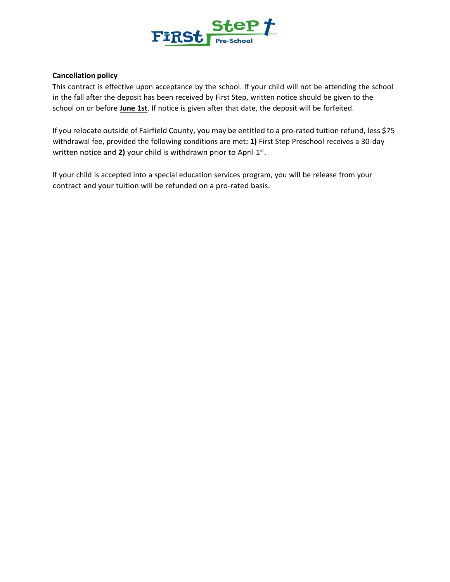

### **Cancellation policy**

This contract is effective upon acceptance by the school. If your child will not be attending the school in the fall after the deposit has been received by First Step, written notice should be given to the school on or before **June 1st**. If notice is given after that date, the deposit will be forfeited.

If you relocate outside of Fairfield County, you may be entitled to a pro-rated tuition refund, less \$75 withdrawal fee, provided the following conditions are met**: 1)** First Step Preschool receives a 30-day written notice and 2) your child is withdrawn prior to April 1st.

If your child is accepted into a special education services program, you will be release from your contract and your tuition will be refunded on a pro-rated basis.